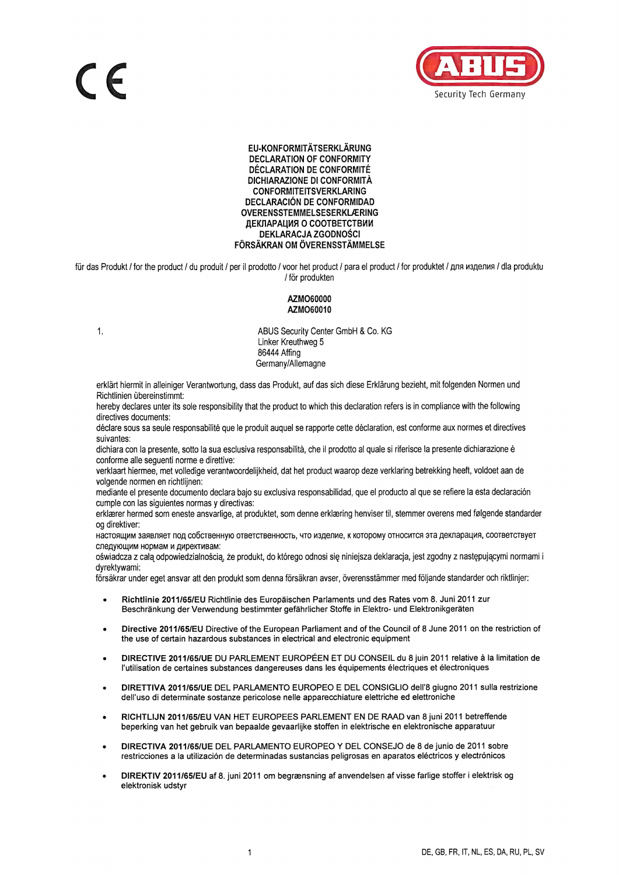

## EU-KONFORMITÄTSERKLÄRUNG **DECLARATION OF CONFORMITY DÉCLARATION DE CONFORMITÉ** DICHIARAZIONE DI CONFORMITÀ **CONFORMITEITSVERKLARING DECLARACIÓN DE CONFORMIDAD OVERENSSTEMMELSESERKLÆRING** ДЕКЛАРАЦИЯ О СООТВЕТСТВИИ **DEKLARACJA ZGODNOŚCI** FÖRSÄKRAN OM ÖVERENSSTÄMMELSE

für das Produkt / for the product / du produit / per il prodotto / voor het product / para el product / for produktet / для изделия / dla produktu / för produkten

## AZMO60000 AZMO60010

 $1.$ 

ABUS Security Center GmbH & Co. KG Linker Kreuthweg 5 86444 Affing Germany/Allemagne

erklärt hiermit in alleiniger Verantwortung, dass das Produkt, auf das sich diese Erklärung bezieht, mit folgenden Normen und Richtlinien übereinstimmt:

hereby declares unter its sole responsibility that the product to which this declaration refers is in compliance with the following directives documents:

déclare sous sa seule responsabilité que le produit auquel se rapporte cette déclaration, est conforme aux normes et directives suivantes:

dichiara con la presente, sotto la sua esclusiva responsabilità, che il prodotto al quale si riferisce la presente dichiarazione è conforme alle seguenti norme e direttive:

verklaart hiermee, met volledige verantwoordelijkheid, dat het product waarop deze verklaring betrekking heeft, voldoet aan de volgende normen en richtlijnen:

mediante el presente documento declara bajo su exclusiva responsabilidad, que el producto al que se refiere la esta declaración cumple con las siguientes normas y directivas:

erklærer hermed som eneste ansvarlige, at produktet, som denne erklæring henviser til, stemmer overens med følgende standarder og direktiver:

настоящим заявляет под собственную ответственность, что изделие, к которому относится эта декларация, соответствует следующим нормам и директивам:

oświadcza z całą odpowiedzialnością, że produkt, do którego odnosi się niniejsza deklaracja, jest zgodny z następującymi normami i dvrektvwami:

försäkrar under eget ansvar att den produkt som denna försäkran avser, överensstämmer med följande standarder och riktlinjer:

- Richtlinie 2011/65/EU Richtlinie des Europäischen Parlaments und des Rates vom 8. Juni 2011 zur Beschränkung der Verwendung bestimmter gefährlicher Stoffe in Elektro- und Elektronikgeräten
- Directive 2011/65/EU Directive of the European Parliament and of the Council of 8 June 2011 on the restriction of the use of certain hazardous substances in electrical and electronic equipment
- DIRECTIVE 2011/65/UE DU PARLEMENT EUROPÉEN ET DU CONSEIL du 8 juin 2011 relative à la limitation de l'utilisation de certaines substances dangereuses dans les équipements électriques et électroniques
- DIRETTIVA 2011/65/UE DEL PARLAMENTO EUROPEO E DEL CONSIGLIO dell'8 giugno 2011 sulla restrizione dell'uso di determinate sostanze pericolose nelle apparecchiature elettriche ed elettroniche
- RICHTLIJN 2011/65/EU VAN HET EUROPEES PARLEMENT EN DE RAAD van 8 juni 2011 betreffende beperking van het gebruik van bepaalde gevaarlijke stoffen in elektrische en elektronische apparatuur
- DIRECTIVA 2011/65/UE DEL PARLAMENTO EUROPEO Y DEL CONSEJO de 8 de junio de 2011 sobre restricciones a la utilización de determinadas sustancias peligrosas en aparatos eléctricos y electrónicos
- DIREKTIV 2011/65/EU af 8. juni 2011 om begrænsning af anvendelsen af visse farlige stoffer i elektrisk og elektronisk udstyr